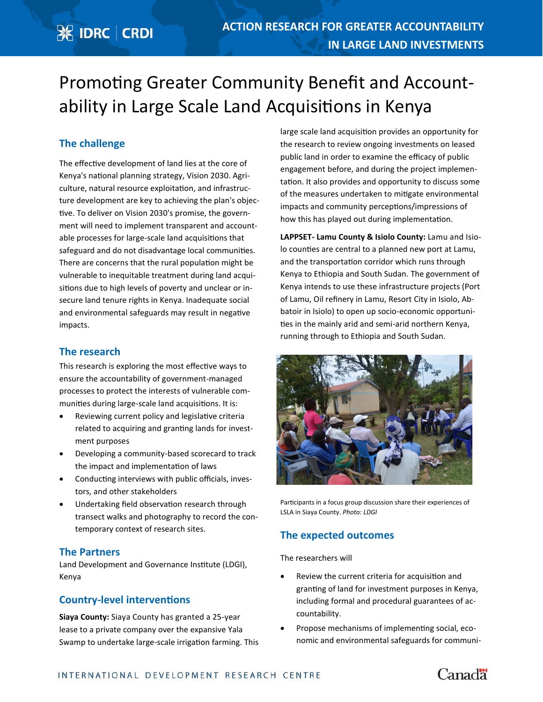# **※ IDRC | CRDI**

# Promoting Greater Community Benefit and Accountability in Large Scale Land Acquisitions in Kenya

# **The challenge**

The effective development of land lies at the core of Kenya's national planning strategy, Vision 2030. Agriculture, natural resource exploitation, and infrastructure development are key to achieving the plan's objective. To deliver on Vision 2030's promise, the government will need to implement transparent and accountable processes for large-scale land acquisitions that safeguard and do not disadvantage local communities. There are concerns that the rural population might be vulnerable to inequitable treatment during land acquisitions due to high levels of poverty and unclear or insecure land tenure rights in Kenya. Inadequate social and environmental safeguards may result in negative impacts.

### **The research**

This research is exploring the most effective ways to ensure the accountability of government-managed processes to protect the interests of vulnerable communities during large-scale land acquisitions. It is:

- Reviewing current policy and legislative criteria related to acquiring and granting lands for investment purposes
- Developing a community-based scorecard to track the impact and implementation of laws
- Conducting interviews with public officials, investors, and other stakeholders
- Undertaking field observation research through transect walks and photography to record the contemporary context of research sites.

### **The Partners**

Land Development and Governance Institute (LDGI), Kenya

# **Country-level interventions**

**Siaya County:** Siaya County has granted a 25-year lease to a private company over the expansive Yala Swamp to undertake large-scale irrigation farming. This large scale land acquisition provides an opportunity for the research to review ongoing investments on leased public land in order to examine the efficacy of public engagement before, and during the project implementation. It also provides and opportunity to discuss some of the measures undertaken to mitigate environmental impacts and community perceptions/impressions of how this has played out during implementation.

**LAPPSET- Lamu County & Isiolo County:** Lamu and Isiolo counties are central to a planned new port at Lamu, and the transportation corridor which runs through Kenya to Ethiopia and South Sudan. The government of Kenya intends to use these infrastructure projects (Port of Lamu, Oil refinery in Lamu, Resort City in Isiolo, Abbatoir in Isiolo) to open up socio-economic opportunities in the mainly arid and semi-arid northern Kenya, running through to Ethiopia and South Sudan.



Participants in a focus group discussion share their experiences of LSLA in Siaya County. *Photo: LDGI*

### **The expected outcomes**

The researchers will

- Review the current criteria for acquisition and granting of land for investment purposes in Kenya, including formal and procedural guarantees of accountability.
- Propose mechanisms of implementing social, economic and environmental safeguards for communi-